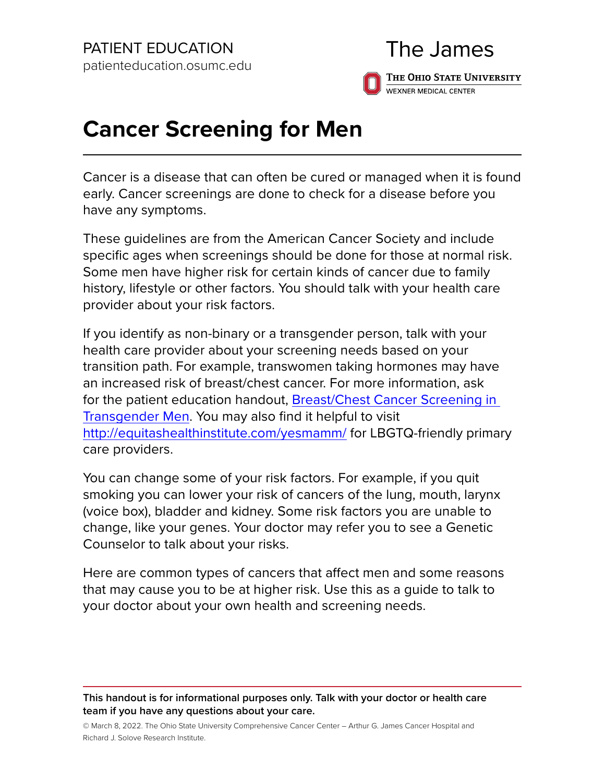# The James THE OHIO STATE UNIVERSITY **WEXNER MEDICAL CENTER**

# **Cancer Screening for Men**

Cancer is a disease that can often be cured or managed when it is found early. Cancer screenings are done to check for a disease before you have any symptoms.

These guidelines are from the American Cancer Society and include specific ages when screenings should be done for those at normal risk. Some men have higher risk for certain kinds of cancer due to family history, lifestyle or other factors. You should talk with your health care provider about your risk factors.

If you identify as non-binary or a transgender person, talk with your health care provider about your screening needs based on your transition path. For example, transwomen taking hormones may have an increased risk of breast/chest cancer. For more information, ask for the patient education handout, [Breast/Chest Cancer Screening in](https://healthsystem.osumc.edu/pteduc/docs/BreastChestCanScreenTransMen.pdf)  [Transgender Men.](https://healthsystem.osumc.edu/pteduc/docs/BreastChestCanScreenTransMen.pdf) You may also find it helpful to visit <http://equitashealthinstitute.com/yesmamm/>for LBGTQ-friendly primary care providers.

You can change some of your risk factors. For example, if you quit smoking you can lower your risk of cancers of the lung, mouth, larynx (voice box), bladder and kidney. Some risk factors you are unable to change, like your genes. Your doctor may refer you to see a Genetic Counselor to talk about your risks.

Here are common types of cancers that affect men and some reasons that may cause you to be at higher risk. Use this as a guide to talk to your doctor about your own health and screening needs.

#### **This handout is for informational purposes only. Talk with your doctor or health care team if you have any questions about your care.**

© March 8, 2022. The Ohio State University Comprehensive Cancer Center – Arthur G. James Cancer Hospital and Richard J. Solove Research Institute.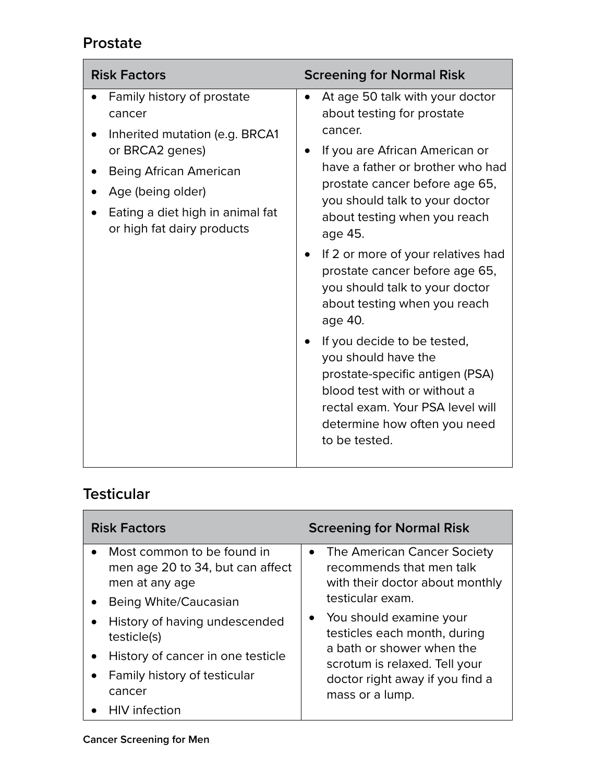#### **Prostate**

| <b>Risk Factors</b>                                                                                                                                                                                               | <b>Screening for Normal Risk</b>                                                                                                                                                                                                                                                                                                                                                                                                                                                                                                                                                                                                                           |
|-------------------------------------------------------------------------------------------------------------------------------------------------------------------------------------------------------------------|------------------------------------------------------------------------------------------------------------------------------------------------------------------------------------------------------------------------------------------------------------------------------------------------------------------------------------------------------------------------------------------------------------------------------------------------------------------------------------------------------------------------------------------------------------------------------------------------------------------------------------------------------------|
| Family history of prostate<br>cancer<br>Inherited mutation (e.g. BRCA1<br>or BRCA2 genes)<br><b>Being African American</b><br>Age (being older)<br>Eating a diet high in animal fat<br>or high fat dairy products | At age 50 talk with your doctor<br>about testing for prostate<br>cancer.<br>If you are African American or<br>have a father or brother who had<br>prostate cancer before age 65,<br>you should talk to your doctor<br>about testing when you reach<br>age 45.<br>If 2 or more of your relatives had<br>$\bullet$<br>prostate cancer before age 65,<br>you should talk to your doctor<br>about testing when you reach<br>age 40.<br>If you decide to be tested,<br>$\bullet$<br>you should have the<br>prostate-specific antigen (PSA)<br>blood test with or without a<br>rectal exam. Your PSA level will<br>determine how often you need<br>to be tested. |

# **Testicular**

| <b>Risk Factors</b> |                                                                                                                             |           | <b>Screening for Normal Risk</b>                                                                                                                                            |
|---------------------|-----------------------------------------------------------------------------------------------------------------------------|-----------|-----------------------------------------------------------------------------------------------------------------------------------------------------------------------------|
|                     | Most common to be found in<br>men age 20 to 34, but can affect<br>men at any age<br>Being White/Caucasian                   | $\bullet$ | The American Cancer Society<br>recommends that men talk<br>with their doctor about monthly<br>testicular exam.                                                              |
|                     | History of having undescended<br>testicle(s)<br>History of cancer in one testicle<br>Family history of testicular<br>cancer | $\bullet$ | You should examine your<br>testicles each month, during<br>a bath or shower when the<br>scrotum is relaxed. Tell your<br>doctor right away if you find a<br>mass or a lump. |
|                     | <b>HIV</b> infection                                                                                                        |           |                                                                                                                                                                             |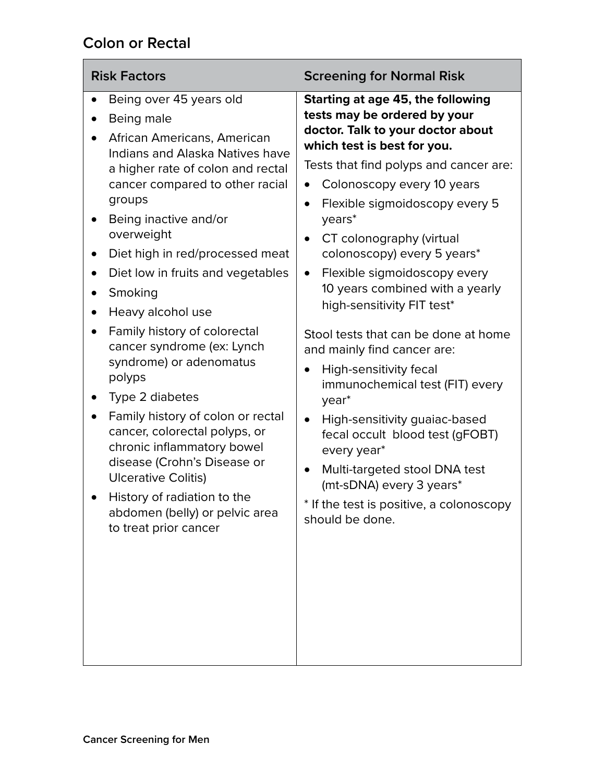#### **Colon or Rectal**

| <b>Risk Factors</b>                                                                                                                                                                                                                                                                                                                                                                                                                                                                                                                                                                                                                                                                                                                                 | <b>Screening for Normal Risk</b>                                                                                                                                                                                                                                                                                                                                                                                                                                                                                                                                                                                                                                                                                                                                                                                                                                                         |
|-----------------------------------------------------------------------------------------------------------------------------------------------------------------------------------------------------------------------------------------------------------------------------------------------------------------------------------------------------------------------------------------------------------------------------------------------------------------------------------------------------------------------------------------------------------------------------------------------------------------------------------------------------------------------------------------------------------------------------------------------------|------------------------------------------------------------------------------------------------------------------------------------------------------------------------------------------------------------------------------------------------------------------------------------------------------------------------------------------------------------------------------------------------------------------------------------------------------------------------------------------------------------------------------------------------------------------------------------------------------------------------------------------------------------------------------------------------------------------------------------------------------------------------------------------------------------------------------------------------------------------------------------------|
| Being over 45 years old<br>Being male<br>African Americans, American<br>Indians and Alaska Natives have<br>a higher rate of colon and rectal<br>cancer compared to other racial<br>groups<br>Being inactive and/or<br>overweight<br>Diet high in red/processed meat<br>Diet low in fruits and vegetables<br>Smoking<br>$\bullet$<br>Heavy alcohol use<br>$\bullet$<br>Family history of colorectal<br>cancer syndrome (ex: Lynch<br>syndrome) or adenomatus<br>polyps<br>Type 2 diabetes<br>Family history of colon or rectal<br>cancer, colorectal polyps, or<br>chronic inflammatory bowel<br>disease (Crohn's Disease or<br><b>Ulcerative Colitis)</b><br>History of radiation to the<br>abdomen (belly) or pelvic area<br>to treat prior cancer | Starting at age 45, the following<br>tests may be ordered by your<br>doctor. Talk to your doctor about<br>which test is best for you.<br>Tests that find polyps and cancer are:<br>Colonoscopy every 10 years<br>$\bullet$<br>Flexible sigmoidoscopy every 5<br>$\bullet$<br>years*<br>CT colonography (virtual<br>$\bullet$<br>colonoscopy) every 5 years*<br>Flexible sigmoidoscopy every<br>$\bullet$<br>10 years combined with a yearly<br>high-sensitivity FIT test*<br>Stool tests that can be done at home<br>and mainly find cancer are:<br>High-sensitivity fecal<br>$\bullet$<br>immunochemical test (FIT) every<br>year <sup>*</sup><br>High-sensitivity guaiac-based<br>$\bullet$<br>fecal occult blood test (gFOBT)<br>every year*<br>Multi-targeted stool DNA test<br>$\bullet$<br>(mt-sDNA) every 3 years*<br>* If the test is positive, a colonoscopy<br>should be done. |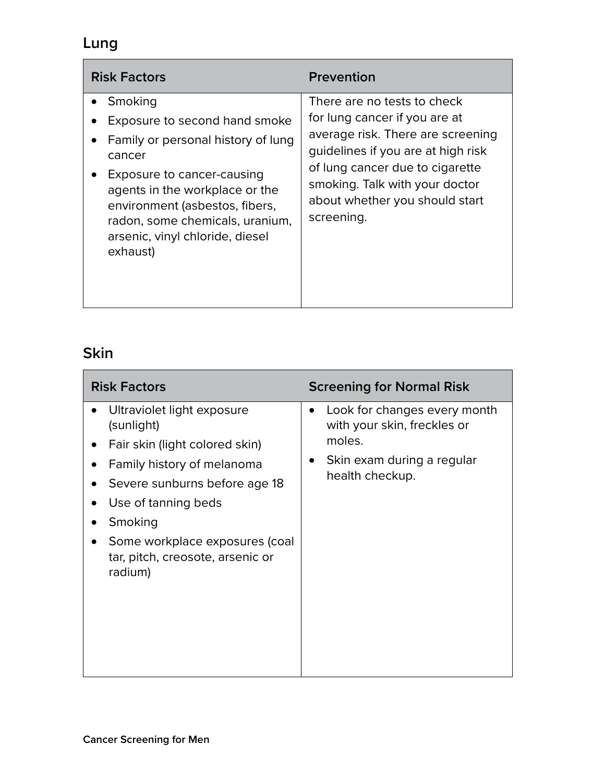# **Lung**

| <b>Risk Factors</b>                                                                                                                                                                                                                                                          | <b>Prevention</b>                                                                                                                                                                                                                                            |
|------------------------------------------------------------------------------------------------------------------------------------------------------------------------------------------------------------------------------------------------------------------------------|--------------------------------------------------------------------------------------------------------------------------------------------------------------------------------------------------------------------------------------------------------------|
| Smoking<br>Exposure to second hand smoke<br>Family or personal history of lung<br>cancer<br>Exposure to cancer-causing<br>agents in the workplace or the<br>environment (asbestos, fibers,<br>radon, some chemicals, uranium,<br>arsenic, vinyl chloride, diesel<br>exhaust) | There are no tests to check<br>for lung cancer if you are at<br>average risk. There are screening<br>guidelines if you are at high risk<br>of lung cancer due to cigarette<br>smoking. Talk with your doctor<br>about whether you should start<br>screening. |

# **Skin**

| <b>Risk Factors</b>                                                                                                                                                                                                                                                       | <b>Screening for Normal Risk</b>                                                                                                    |
|---------------------------------------------------------------------------------------------------------------------------------------------------------------------------------------------------------------------------------------------------------------------------|-------------------------------------------------------------------------------------------------------------------------------------|
| Ultraviolet light exposure<br>$\bullet$<br>(sunlight)<br>Fair skin (light colored skin)<br>Family history of melanoma<br>Severe sunburns before age 18<br>Use of tanning beds<br>Smoking<br>Some workplace exposures (coal<br>tar, pitch, creosote, arsenic or<br>radium) | Look for changes every month<br>$\bullet$<br>with your skin, freckles or<br>moles.<br>Skin exam during a regular<br>health checkup. |